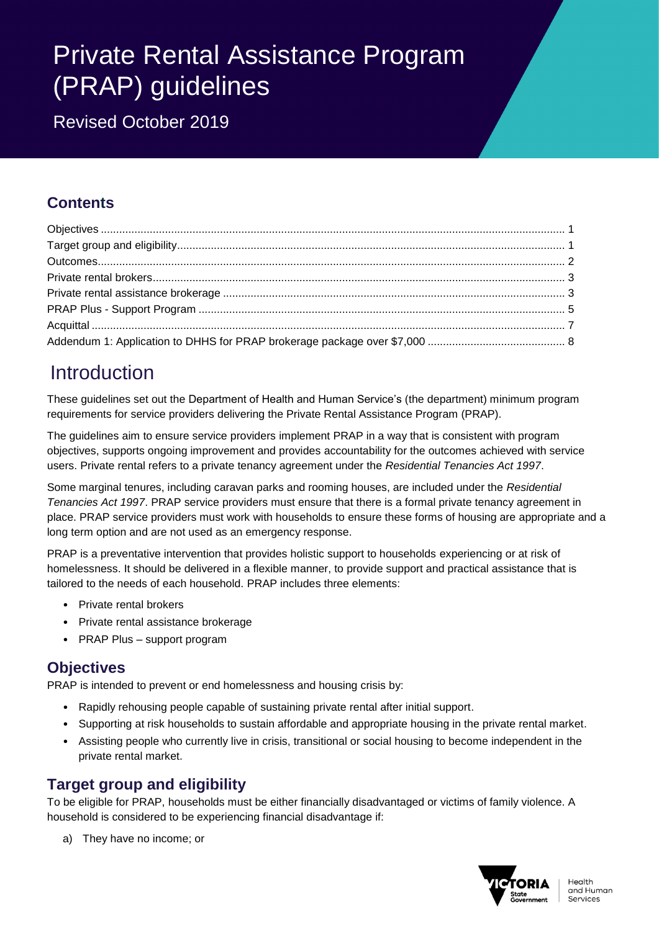# Private Rental Assistance Program (PRAP) guidelines

Revised October 2019

### **Contents**

## Introduction

These guidelines set out the Department of Health and Human Service's (the department) minimum program requirements for service providers delivering the Private Rental Assistance Program (PRAP).

The guidelines aim to ensure service providers implement PRAP in a way that is consistent with program objectives, supports ongoing improvement and provides accountability for the outcomes achieved with service users. Private rental refers to a private tenancy agreement under the *Residential Tenancies Act 1997*.

Some marginal tenures, including caravan parks and rooming houses, are included under the *Residential Tenancies Act 1997*. PRAP service providers must ensure that there is a formal private tenancy agreement in place. PRAP service providers must work with households to ensure these forms of housing are appropriate and a long term option and are not used as an emergency response.

PRAP is a preventative intervention that provides holistic support to households experiencing or at risk of homelessness. It should be delivered in a flexible manner, to provide support and practical assistance that is tailored to the needs of each household. PRAP includes three elements:

- Private rental brokers
- Private rental assistance brokerage
- PRAP Plus support program

### <span id="page-0-0"></span>**Objectives**

PRAP is intended to prevent or end homelessness and housing crisis by:

- Rapidly rehousing people capable of sustaining private rental after initial support.
- Supporting at risk households to sustain affordable and appropriate housing in the private rental market.
- Assisting people who currently live in crisis, transitional or social housing to become independent in the private rental market.

### <span id="page-0-1"></span>**Target group and eligibility**

To be eligible for PRAP, households must be either financially disadvantaged or victims of family violence. A household is considered to be experiencing financial disadvantage if:

a) They have no income; or

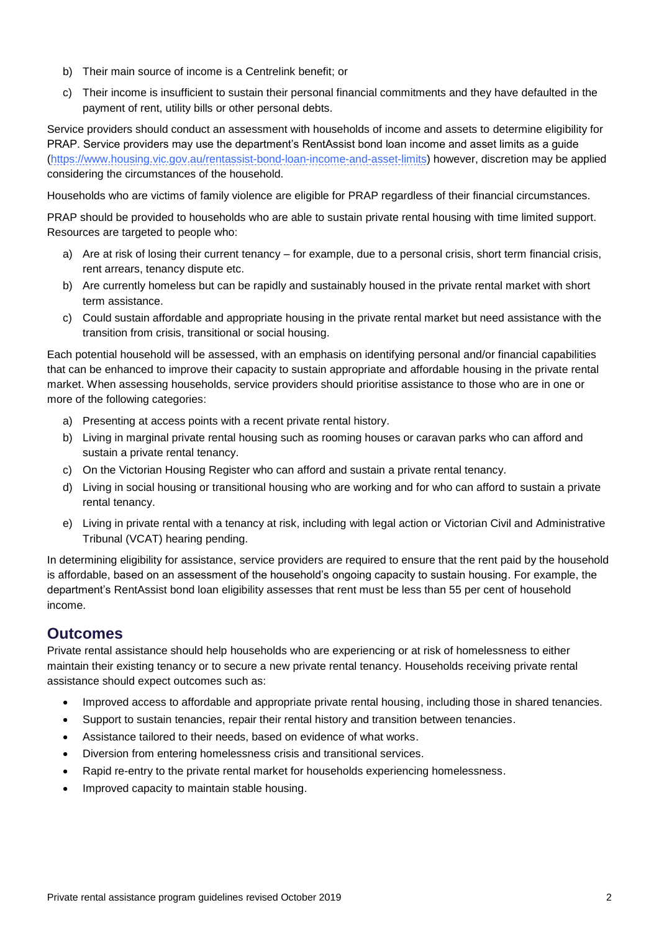- b) Their main source of income is a Centrelink benefit; or
- c) Their income is insufficient to sustain their personal financial commitments and they have defaulted in the payment of rent, utility bills or other personal debts.

Service providers should conduct an assessment with households of income and assets to determine eligibility for PRAP. Service providers may use the department's RentAssist bond loan income and asset limits as a guide [\(https://www.housing.vic.gov.au/rentassist-bond-loan-income-and-asset-limits\)](https://www.housing.vic.gov.au/rentassist-bond-loan-income-and-asset-limits) however, discretion may be applied considering the circumstances of the household.

Households who are victims of family violence are eligible for PRAP regardless of their financial circumstances.

PRAP should be provided to households who are able to sustain private rental housing with time limited support. Resources are targeted to people who:

- a) Are at risk of losing their current tenancy for example, due to a personal crisis, short term financial crisis, rent arrears, tenancy dispute etc.
- b) Are currently homeless but can be rapidly and sustainably housed in the private rental market with short term assistance.
- c) Could sustain affordable and appropriate housing in the private rental market but need assistance with the transition from crisis, transitional or social housing.

Each potential household will be assessed, with an emphasis on identifying personal and/or financial capabilities that can be enhanced to improve their capacity to sustain appropriate and affordable housing in the private rental market. When assessing households, service providers should prioritise assistance to those who are in one or more of the following categories:

- a) Presenting at access points with a recent private rental history.
- b) Living in marginal private rental housing such as rooming houses or caravan parks who can afford and sustain a private rental tenancy.
- c) On the Victorian Housing Register who can afford and sustain a private rental tenancy.
- d) Living in social housing or transitional housing who are working and for who can afford to sustain a private rental tenancy.
- e) Living in private rental with a tenancy at risk, including with legal action or Victorian Civil and Administrative Tribunal (VCAT) hearing pending.

In determining eligibility for assistance, service providers are required to ensure that the rent paid by the household is affordable, based on an assessment of the household's ongoing capacity to sustain housing. For example, the department's RentAssist bond loan eligibility assesses that rent must be less than 55 per cent of household income.

### <span id="page-1-0"></span>**Outcomes**

Private rental assistance should help households who are experiencing or at risk of homelessness to either maintain their existing tenancy or to secure a new private rental tenancy. Households receiving private rental assistance should expect outcomes such as:

- Improved access to affordable and appropriate private rental housing, including those in shared tenancies.
- Support to sustain tenancies, repair their rental history and transition between tenancies.
- Assistance tailored to their needs, based on evidence of what works.
- Diversion from entering homelessness crisis and transitional services.
- Rapid re-entry to the private rental market for households experiencing homelessness.
- Improved capacity to maintain stable housing.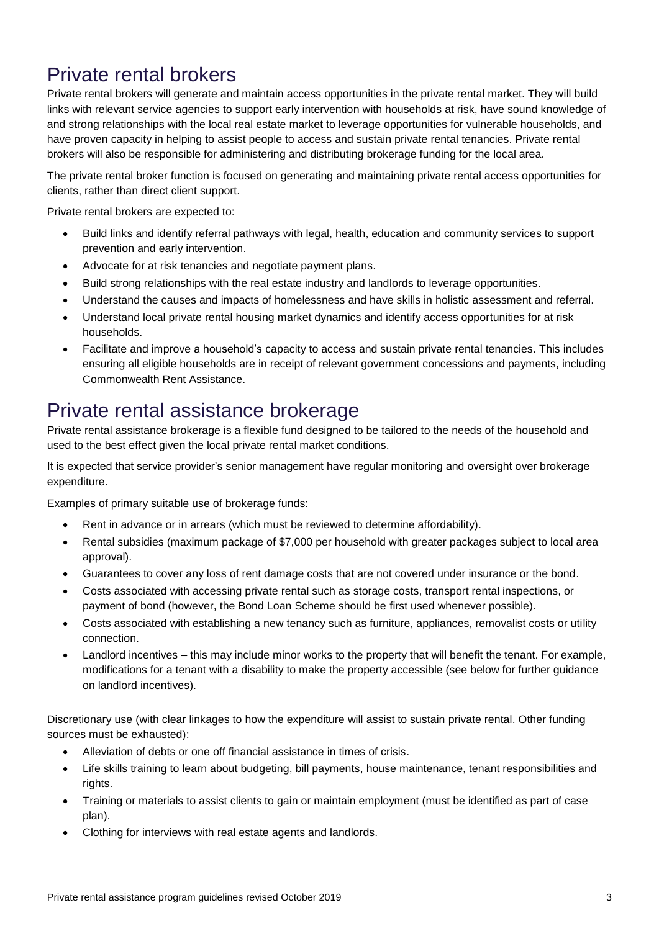## <span id="page-2-0"></span>Private rental brokers

Private rental brokers will generate and maintain access opportunities in the private rental market. They will build links with relevant service agencies to support early intervention with households at risk, have sound knowledge of and strong relationships with the local real estate market to leverage opportunities for vulnerable households, and have proven capacity in helping to assist people to access and sustain private rental tenancies. Private rental brokers will also be responsible for administering and distributing brokerage funding for the local area.

The private rental broker function is focused on generating and maintaining private rental access opportunities for clients, rather than direct client support.

Private rental brokers are expected to:

- Build links and identify referral pathways with legal, health, education and community services to support prevention and early intervention.
- Advocate for at risk tenancies and negotiate payment plans.
- Build strong relationships with the real estate industry and landlords to leverage opportunities.
- Understand the causes and impacts of homelessness and have skills in holistic assessment and referral.
- Understand local private rental housing market dynamics and identify access opportunities for at risk households.
- Facilitate and improve a household's capacity to access and sustain private rental tenancies. This includes ensuring all eligible households are in receipt of relevant government concessions and payments, including Commonwealth Rent Assistance.

## <span id="page-2-1"></span>Private rental assistance brokerage

Private rental assistance brokerage is a flexible fund designed to be tailored to the needs of the household and used to the best effect given the local private rental market conditions.

It is expected that service provider's senior management have regular monitoring and oversight over brokerage expenditure.

Examples of primary suitable use of brokerage funds:

- Rent in advance or in arrears (which must be reviewed to determine affordability).
- Rental subsidies (maximum package of \$7,000 per household with greater packages subject to local area approval).
- Guarantees to cover any loss of rent damage costs that are not covered under insurance or the bond.
- Costs associated with accessing private rental such as storage costs, transport rental inspections, or payment of bond (however, the Bond Loan Scheme should be first used whenever possible).
- Costs associated with establishing a new tenancy such as furniture, appliances, removalist costs or utility connection.
- Landlord incentives this may include minor works to the property that will benefit the tenant. For example, modifications for a tenant with a disability to make the property accessible (see below for further guidance on landlord incentives).

Discretionary use (with clear linkages to how the expenditure will assist to sustain private rental. Other funding sources must be exhausted):

- Alleviation of debts or one off financial assistance in times of crisis.
- Life skills training to learn about budgeting, bill payments, house maintenance, tenant responsibilities and rights.
- Training or materials to assist clients to gain or maintain employment (must be identified as part of case plan).
- Clothing for interviews with real estate agents and landlords.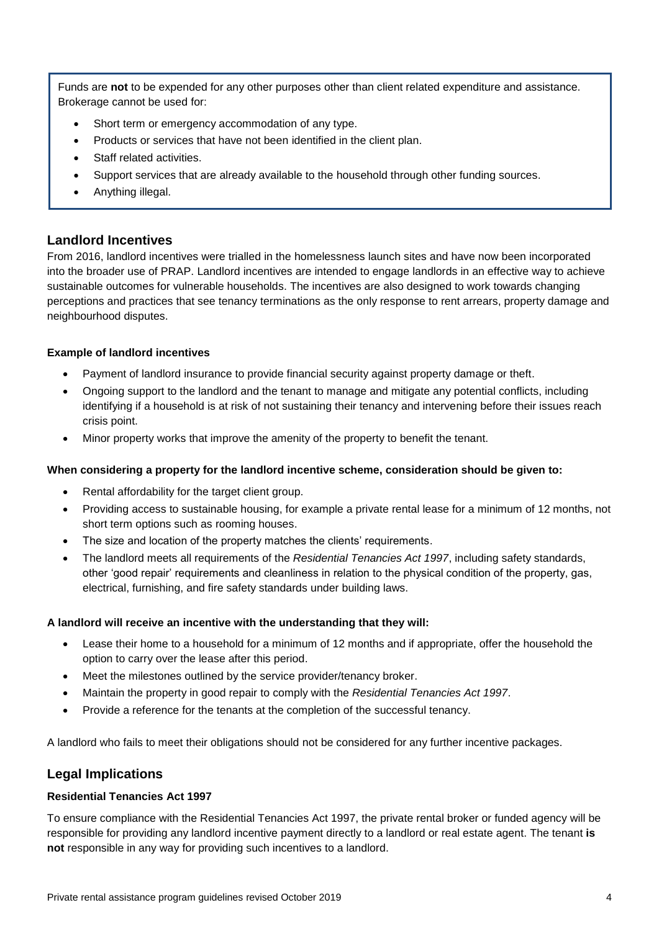Funds are **not** to be expended for any other purposes other than client related expenditure and assistance. Brokerage cannot be used for:

- Short term or emergency accommodation of any type.
- Products or services that have not been identified in the client plan.
- Staff related activities.
- Support services that are already available to the household through other funding sources.
- Anything illegal.

### **Landlord Incentives**

From 2016, landlord incentives were trialled in the homelessness launch sites and have now been incorporated into the broader use of PRAP. Landlord incentives are intended to engage landlords in an effective way to achieve sustainable outcomes for vulnerable households. The incentives are also designed to work towards changing perceptions and practices that see tenancy terminations as the only response to rent arrears, property damage and neighbourhood disputes.

### **Example of landlord incentives**

- Payment of landlord insurance to provide financial security against property damage or theft.
- Ongoing support to the landlord and the tenant to manage and mitigate any potential conflicts, including identifying if a household is at risk of not sustaining their tenancy and intervening before their issues reach crisis point.
- Minor property works that improve the amenity of the property to benefit the tenant.

### **When considering a property for the landlord incentive scheme, consideration should be given to:**

- Rental affordability for the target client group.
- Providing access to sustainable housing, for example a private rental lease for a minimum of 12 months, not short term options such as rooming houses.
- The size and location of the property matches the clients' requirements.
- The landlord meets all requirements of the *Residential Tenancies Act 1997*, including safety standards, other 'good repair' requirements and cleanliness in relation to the physical condition of the property, gas, electrical, furnishing, and fire safety standards under building laws.

### **A landlord will receive an incentive with the understanding that they will:**

- Lease their home to a household for a minimum of 12 months and if appropriate, offer the household the option to carry over the lease after this period.
- Meet the milestones outlined by the service provider/tenancy broker.
- Maintain the property in good repair to comply with the *Residential Tenancies Act 1997*.
- Provide a reference for the tenants at the completion of the successful tenancy.

A landlord who fails to meet their obligations should not be considered for any further incentive packages.

### **Legal Implications**

### **Residential Tenancies Act 1997**

To ensure compliance with the Residential Tenancies Act 1997, the private rental broker or funded agency will be responsible for providing any landlord incentive payment directly to a landlord or real estate agent. The tenant **is not** responsible in any way for providing such incentives to a landlord.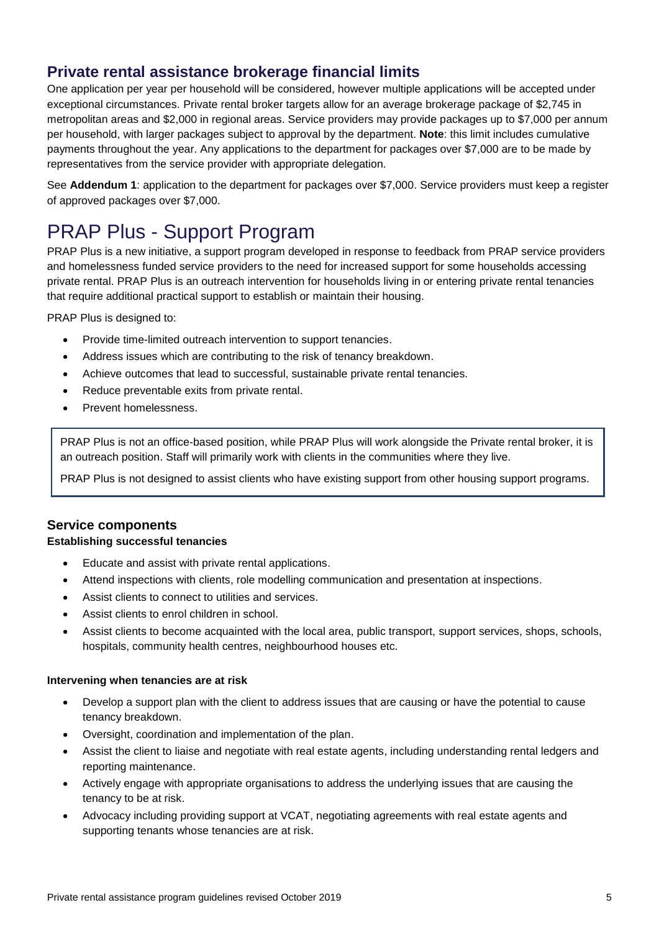### **Private rental assistance brokerage financial limits**

One application per year per household will be considered, however multiple applications will be accepted under exceptional circumstances. Private rental broker targets allow for an average brokerage package of \$2,745 in metropolitan areas and \$2,000 in regional areas. Service providers may provide packages up to \$7,000 per annum per household, with larger packages subject to approval by the department. **Note**: this limit includes cumulative payments throughout the year. Any applications to the department for packages over \$7,000 are to be made by representatives from the service provider with appropriate delegation.

See **Addendum 1**: application to the department for packages over \$7,000. Service providers must keep a register of approved packages over \$7,000.

## <span id="page-4-0"></span>PRAP Plus - Support Program

PRAP Plus is a new initiative, a support program developed in response to feedback from PRAP service providers and homelessness funded service providers to the need for increased support for some households accessing private rental. PRAP Plus is an outreach intervention for households living in or entering private rental tenancies that require additional practical support to establish or maintain their housing.

PRAP Plus is designed to:

- Provide time-limited outreach intervention to support tenancies.
- Address issues which are contributing to the risk of tenancy breakdown.
- Achieve outcomes that lead to successful, sustainable private rental tenancies.
- Reduce preventable exits from private rental.
- Prevent homelessness.

PRAP Plus is not an office-based position, while PRAP Plus will work alongside the Private rental broker, it is an outreach position. Staff will primarily work with clients in the communities where they live.

PRAP Plus is not designed to assist clients who have existing support from other housing support programs.

### **Service components**

### **Establishing successful tenancies**

- Educate and assist with private rental applications.
- Attend inspections with clients, role modelling communication and presentation at inspections.
- Assist clients to connect to utilities and services.
- Assist clients to enrol children in school.
- Assist clients to become acquainted with the local area, public transport, support services, shops, schools, hospitals, community health centres, neighbourhood houses etc.

### **Intervening when tenancies are at risk**

- Develop a support plan with the client to address issues that are causing or have the potential to cause tenancy breakdown.
- Oversight, coordination and implementation of the plan.
- Assist the client to liaise and negotiate with real estate agents, including understanding rental ledgers and reporting maintenance.
- Actively engage with appropriate organisations to address the underlying issues that are causing the tenancy to be at risk.
- Advocacy including providing support at VCAT, negotiating agreements with real estate agents and supporting tenants whose tenancies are at risk.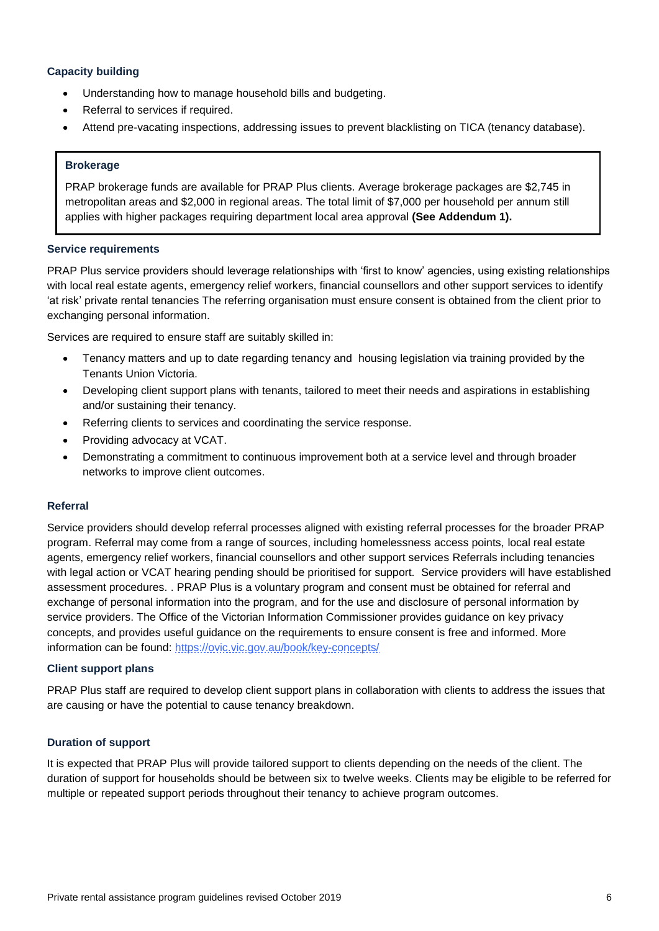### **Capacity building**

- Understanding how to manage household bills and budgeting.
- Referral to services if required.
- Attend pre-vacating inspections, addressing issues to prevent blacklisting on TICA (tenancy database).

### **Brokerage**

PRAP brokerage funds are available for PRAP Plus clients. Average brokerage packages are \$2,745 in metropolitan areas and \$2,000 in regional areas. The total limit of \$7,000 per household per annum still applies with higher packages requiring department local area approval **(See Addendum 1).**

#### **Service requirements**

PRAP Plus service providers should leverage relationships with 'first to know' agencies, using existing relationships with local real estate agents, emergency relief workers, financial counsellors and other support services to identify 'at risk' private rental tenancies The referring organisation must ensure consent is obtained from the client prior to exchanging personal information.

Services are required to ensure staff are suitably skilled in:

- Tenancy matters and up to date regarding tenancy and housing legislation via training provided by the Tenants Union Victoria.
- Developing client support plans with tenants, tailored to meet their needs and aspirations in establishing and/or sustaining their tenancy.
- Referring clients to services and coordinating the service response.
- Providing advocacy at VCAT.
- Demonstrating a commitment to continuous improvement both at a service level and through broader networks to improve client outcomes.

#### **Referral**

Service providers should develop referral processes aligned with existing referral processes for the broader PRAP program. Referral may come from a range of sources, including homelessness access points, local real estate agents, emergency relief workers, financial counsellors and other support services Referrals including tenancies with legal action or VCAT hearing pending should be prioritised for support. Service providers will have established assessment procedures. . PRAP Plus is a voluntary program and consent must be obtained for referral and exchange of personal information into the program, and for the use and disclosure of personal information by service providers. The Office of the Victorian Information Commissioner provides guidance on key privacy concepts, and provides useful guidance on the requirements to ensure consent is free and informed. More information can be found:<https://ovic.vic.gov.au/book/key-concepts/>

#### **Client support plans**

PRAP Plus staff are required to develop client support plans in collaboration with clients to address the issues that are causing or have the potential to cause tenancy breakdown.

#### **Duration of support**

It is expected that PRAP Plus will provide tailored support to clients depending on the needs of the client. The duration of support for households should be between six to twelve weeks. Clients may be eligible to be referred for multiple or repeated support periods throughout their tenancy to achieve program outcomes.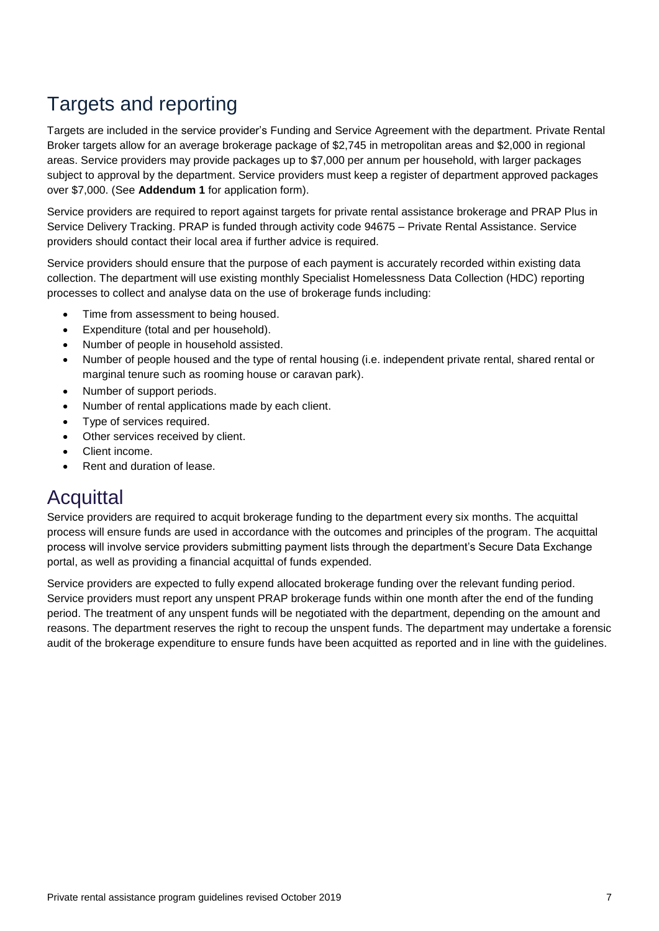## Targets and reporting

Targets are included in the service provider's Funding and Service Agreement with the department. Private Rental Broker targets allow for an average brokerage package of \$2,745 in metropolitan areas and \$2,000 in regional areas. Service providers may provide packages up to \$7,000 per annum per household, with larger packages subject to approval by the department. Service providers must keep a register of department approved packages over \$7,000. (See **Addendum 1** for application form).

Service providers are required to report against targets for private rental assistance brokerage and PRAP Plus in Service Delivery Tracking. PRAP is funded through activity code 94675 – Private Rental Assistance. Service providers should contact their local area if further advice is required.

Service providers should ensure that the purpose of each payment is accurately recorded within existing data collection. The department will use existing monthly Specialist Homelessness Data Collection (HDC) reporting processes to collect and analyse data on the use of brokerage funds including:

- Time from assessment to being housed.
- Expenditure (total and per household).
- Number of people in household assisted.
- Number of people housed and the type of rental housing (i.e. independent private rental, shared rental or marginal tenure such as rooming house or caravan park).
- Number of support periods.
- Number of rental applications made by each client.
- Type of services required.
- Other services received by client.
- Client income.
- Rent and duration of lease.

## <span id="page-6-0"></span>Acquittal

Service providers are required to acquit brokerage funding to the department every six months. The acquittal process will ensure funds are used in accordance with the outcomes and principles of the program. The acquittal process will involve service providers submitting payment lists through the department's Secure Data Exchange portal, as well as providing a financial acquittal of funds expended.

Service providers are expected to fully expend allocated brokerage funding over the relevant funding period. Service providers must report any unspent PRAP brokerage funds within one month after the end of the funding period. The treatment of any unspent funds will be negotiated with the department, depending on the amount and reasons. The department reserves the right to recoup the unspent funds. The department may undertake a forensic audit of the brokerage expenditure to ensure funds have been acquitted as reported and in line with the guidelines.